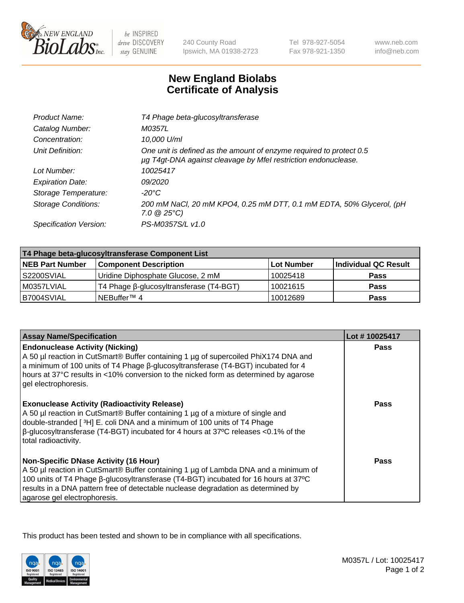

 $be$  INSPIRED drive DISCOVERY stay GENUINE

240 County Road Ipswich, MA 01938-2723 Tel 978-927-5054 Fax 978-921-1350

www.neb.com info@neb.com

## **New England Biolabs Certificate of Analysis**

| T4 Phage beta-glucosyltransferase                                                                                                     |
|---------------------------------------------------------------------------------------------------------------------------------------|
| M0357L                                                                                                                                |
| 10,000 U/ml                                                                                                                           |
| One unit is defined as the amount of enzyme required to protect 0.5<br>µg T4gt-DNA against cleavage by Mfel restriction endonuclease. |
| 10025417                                                                                                                              |
| 09/2020                                                                                                                               |
| -20°C                                                                                                                                 |
| 200 mM NaCl, 20 mM KPO4, 0.25 mM DTT, 0.1 mM EDTA, 50% Glycerol, (pH<br>$7.0 \ @ 25^{\circ}C$                                         |
| PS-M0357S/L v1.0                                                                                                                      |
|                                                                                                                                       |

| T4 Phage beta-glucosyltransferase Component List |                                         |            |                      |  |
|--------------------------------------------------|-----------------------------------------|------------|----------------------|--|
| <b>NEB Part Number</b>                           | <b>Component Description</b>            | Lot Number | Individual QC Result |  |
| S2200SVIAL                                       | Uridine Diphosphate Glucose, 2 mM       | 10025418   | <b>Pass</b>          |  |
| M0357LVIAL                                       | T4 Phage β-glucosyltransferase (T4-BGT) | 10021615   | <b>Pass</b>          |  |
| B7004SVIAL                                       | NEBuffer <sup>™</sup> 4                 | 10012689   | Pass                 |  |

| <b>Assay Name/Specification</b>                                                                                                                                                                                                                                                                                                                     | Lot #10025417 |
|-----------------------------------------------------------------------------------------------------------------------------------------------------------------------------------------------------------------------------------------------------------------------------------------------------------------------------------------------------|---------------|
| <b>Endonuclease Activity (Nicking)</b><br>A 50 µl reaction in CutSmart® Buffer containing 1 µg of supercoiled PhiX174 DNA and<br>a minimum of 100 units of T4 Phage ß-glucosyltransferase (T4-BGT) incubated for 4<br>hours at 37°C results in <10% conversion to the nicked form as determined by agarose<br>gel electrophoresis.                  | <b>Pass</b>   |
| <b>Exonuclease Activity (Radioactivity Release)</b><br>A 50 µl reaction in CutSmart® Buffer containing 1 µg of a mixture of single and<br>double-stranded [ <sup>3</sup> H] E. coli DNA and a minimum of 100 units of T4 Phage<br>$\beta$ -glucosyltransferase (T4-BGT) incubated for 4 hours at 37°C releases <0.1% of the<br>total radioactivity. | <b>Pass</b>   |
| <b>Non-Specific DNase Activity (16 Hour)</b><br>A 50 µl reaction in CutSmart® Buffer containing 1 µg of Lambda DNA and a minimum of<br>100 units of T4 Phage β-glucosyltransferase (T4-BGT) incubated for 16 hours at 37°C<br>results in a DNA pattern free of detectable nuclease degradation as determined by<br>agarose gel electrophoresis.     | Pass          |

This product has been tested and shown to be in compliance with all specifications.